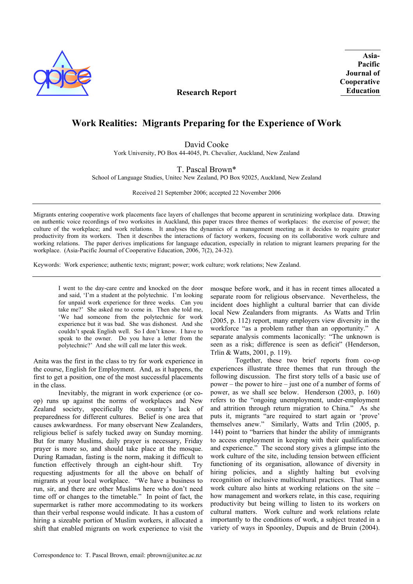

**Asia-Pacific Journal of Cooperative Education** 

# **Research Report**

# **Work Realities: Migrants Preparing for the Experience of Work**

David Cooke

York University, PO Box 44-4045, Pt. Chevalier, Auckland, New Zealand

# T. Pascal Brown\*

School of Language Studies, Unitec New Zealand, PO Box 92025, Auckland, New Zealand

Received 21 September 2006; accepted 22 November 2006

Migrants entering cooperative work placements face layers of challenges that become apparent in scrutinizing workplace data. Drawing on authentic voice recordings of two worksites in Auckland, this paper traces three themes of workplaces: the exercise of power; the culture of the workplace; and work relations. It analyses the dynamics of a management meeting as it decides to require greater productivity from its workers. Then it describes the interactions of factory workers, focusing on its collaborative work culture and working relations. The paper derives implications for language education, especially in relation to migrant learners preparing for the workplace. (Asia-Pacific Journal of Cooperative Education, 2006, 7(2), 24-32).

Keywords: Work experience; authentic texts; migrant; power; work culture; work relations; New Zealand.

I went to the day-care centre and knocked on the door and said, 'I'm a student at the polytechnic. I'm looking for unpaid work experience for three weeks. Can you take me?' She asked me to come in. Then she told me, 'We had someone from the polytechnic for work experience but it was bad. She was dishonest. And she couldn't speak English well. So I don't know. I have to speak to the owner. Do you have a letter from the polytechnic?' And she will call me later this week.

Anita was the first in the class to try for work experience in the course, English for Employment. And, as it happens, the first to get a position, one of the most successful placements in the class.

Inevitably, the migrant in work experience (or coop) runs up against the norms of workplaces and New Zealand society, specifically the country's lack of preparedness for different cultures. Belief is one area that causes awkwardness. For many observant New Zealanders, religious belief is safely tucked away on Sunday morning. But for many Muslims, daily prayer is necessary, Friday prayer is more so, and should take place at the mosque. During Ramadan, fasting is the norm, making it difficult to function effectively through an eight-hour shift. Try requesting adjustments for all the above on behalf of migrants at your local workplace. "We have a business to run, sir, and there are other Muslims here who don't need time off or changes to the timetable." In point of fact, the supermarket is rather more accommodating to its workers than their verbal response would indicate. It has a custom of hiring a sizeable portion of Muslim workers, it allocated a shift that enabled migrants on work experience to visit the

mosque before work, and it has in recent times allocated a separate room for religious observance. Nevertheless, the incident does highlight a cultural barrier that can divide local New Zealanders from migrants. As Watts and Trlin (2005, p. 112) report, many employers view diversity in the workforce "as a problem rather than an opportunity." A separate analysis comments laconically: "The unknown is seen as a risk; difference is seen as deficit" (Henderson, Trlin & Watts, 2001, p. 119).

Together, these two brief reports from co-op experiences illustrate three themes that run through the following discussion. The first story tells of a basic use of power – the power to hire – just one of a number of forms of power, as we shall see below. Henderson (2003, p. 160) refers to the "ongoing unemployment, under-employment and attrition through return migration to China." As she puts it, migrants "are required to start again or 'prove' themselves anew." Similarly, Watts and Trlin (2005, p. 144) point to "barriers that hinder the ability of immigrants to access employment in keeping with their qualifications and experience." The second story gives a glimpse into the work culture of the site, including tension between efficient functioning of its organisation, allowance of diversity in hiring policies, and a slightly halting but evolving recognition of inclusive multicultural practices. That same work culture also hints at working relations on the site – how management and workers relate, in this case, requiring productivity but being willing to listen to its workers on cultural matters. Work culture and work relations relate importantly to the conditions of work, a subject treated in a variety of ways in Spoonley, Dupuis and de Bruin (2004).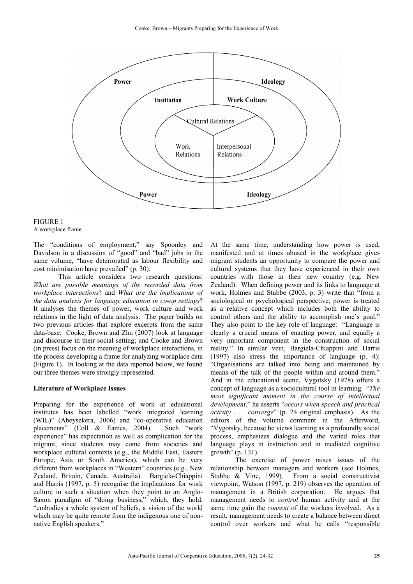

| <b>FIGURE 1</b>   |  |
|-------------------|--|
| A workplace frame |  |

The "conditions of employment," say Spoonley and Davidson in a discussion of "good" and "bad" jobs in the same volume, "have deteriorated as labour flexibility and cost minimisation have prevailed" (p. 30).

This article considers two research questions: *What are possible meanings of the recorded data from workplace interactions*? and *What are the implications of the data analysis for language education in co-op settings*? It analyses the themes of power, work culture and work relations in the light of data analysis. The paper builds on two previous articles that explore excerpts from the same data-base: Cooke, Brown and Zhu (2007) look at language and discourse in their social setting; and Cooke and Brown (in press) focus on the meaning of workplace interactions, in the process developing a frame for analyzing workplace data (Figure 1). In looking at the data reported below, we found our three themes were strongly represented.

### **Literature of Workplace Issues**

Preparing for the experience of work at educational institutes has been labelled "work integrated learning (WIL)" (Abeysekera, 2006) and "co-operative education placements" (Coll & Eames, 2004). Such "work experience" has expectation as well as complication for the migrant, since students may come from societies and workplace cultural contexts (e.g., the Middle East, Eastern Europe, Asia or South America), which can be very different from workplaces in "Western" countries (e.g., New Zealand, Britain, Canada, Australia). Bargiela-Chiappini and Harris (1997, p. 5) recognise the implications for work culture in such a situation when they point to an Anglo-Saxon paradigm of "doing business," which, they hold, "embodies a whole system of beliefs, a vision of the world which may be quite remote from the indigenous one of nonnative English speakers."

At the same time, understanding how power is used, manifested and at times abused in the workplace gives migrant students an opportunity to compare the power and cultural systems that they have experienced in their own countries with those in their new country (e.g. New Zealand). When defining power and its links to language at work, Holmes and Stubbe (2003, p. 3) write that "from a sociological or psychological perspective, power is treated as a relative concept which includes both the ability to control others and the ability to accomplish one's goal." They also point to the key role of language: "Language is clearly a crucial means of enacting power, and equally a very important component in the construction of social reality." In similar vein, Bargiela-Chiappini and Harris (1997) also stress the importance of language (p. 4): "Organisations are talked into being and maintained by means of the talk of the people within and around them." And in the educational scene, Vygotsky (1978) offers a concept of language as a sociocultural tool in learning. "*The most significant moment in the course of intellectual development*," he asserts "*occurs when speech and practical activity . . . converge*" (p. 24 original emphasis). As the editors of the volume comment in the Afterword, "Vygotsky, because he views learning as a profoundly social process, emphasizes dialogue and the varied roles that language plays in instruction and in mediated cognitive growth" (p. 131).

The exercise of power raises issues of the relationship between managers and workers (see Holmes, Stubbe & Vine, 1999). From a social constructivist viewpoint, Watson (1997, p. 219) observes the operation of management in a British corporation. He argues that management needs to *control* human activity and at the same time gain the *consent* of the workers involved. As a result, management needs to create a balance between direct control over workers and what he calls "responsible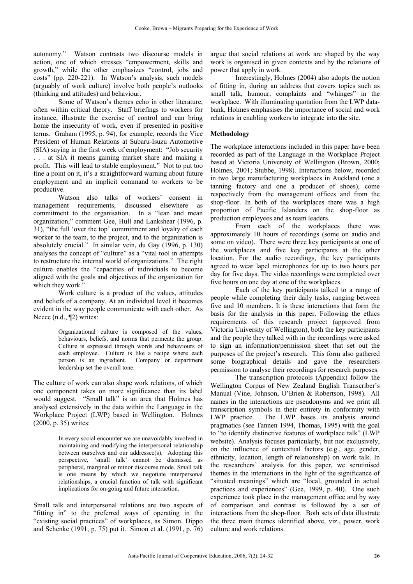autonomy." Watson contrasts two discourse models in action, one of which stresses "empowerment, skills and growth," while the other emphasizes "control, jobs and costs" (pp. 220-221). In Watson's analysis, such models (arguably of work culture) involve both people's outlooks (thinking and attitudes) and behaviour.

Some of Watson's themes echo in other literature, often within critical theory. Staff briefings to workers for instance, illustrate the exercise of control and can bring home the insecurity of work, even if presented in positive terms. Graham (1995, p. 94), for example, records the Vice President of Human Relations at Subaru-Isuzu Automotive (SIA) saying in the first week of employment: "Job security . . . at SIA it means gaining market share and making a profit. This will lead to stable employment." Not to put too fine a point on it, it's a straightforward warning about future employment and an implicit command to workers to be productive.

Watson also talks of workers' consent in management requirements, discussed elsewhere as commitment to the organisation. In a "lean and mean organization," comment Gee, Hull and Lankshear (1996, p. 31), "the full 'over the top' commitment and loyalty of each worker to the team, to the project, and to the organization is absolutely crucial." In similar vein, du Gay (1996, p. 130) analyses the concept of "culture" as a "vital tool in attempts to restructure the internal world of organizations." The right culture enables the "capacities of individuals to become aligned with the goals and objectives of the organization for which they work."

Work culture is a product of the values, attitudes and beliefs of a company. At an individual level it becomes evident in the way people communicate with each other. As Neece (n.d., ¶2) writes:

> Organizational culture is composed of the values, behaviours, beliefs, and norms that permeate the group. Culture is expressed through words and behaviours of each employee. Culture is like a recipe where each person is an ingredient. Company or department leadership set the overall tone.

The culture of work can also shape work relations, of which one component takes on more significance than its label would suggest. "Small talk" is an area that Holmes has analysed extensively in the data within the Language in the Workplace Project (LWP) based in Wellington. Holmes (2000, p. 35) writes:

> In every social encounter we are unavoidably involved in maintaining and modifying the interpersonal relationship between ourselves and our addressee(s). Adopting this perspective, 'small talk' cannot be dismissed as peripheral, marginal or minor discourse mode. Small talk is one means by which we negotiate interpersonal relationships, a crucial function of talk with significant implications for on-going and future interaction.

Small talk and interpersonal relations are two aspects of "fitting in" to the preferred ways of operating in the "existing social practices" of workplaces, as Simon, Dippo and Schenke (1991, p. 75) put it. Simon et al. (1991, p. 76) argue that social relations at work are shaped by the way work is organised in given contexts and by the relations of power that apply in work.

Interestingly, Holmes (2004) also adopts the notion of fitting in, during an address that covers topics such as small talk, humour, complaints and "whinges" in the workplace. With illuminating quotation from the LWP databank, Holmes emphasises the importance of social and work relations in enabling workers to integrate into the site.

# **Methodology**

The workplace interactions included in this paper have been recorded as part of the Language in the Workplace Project based at Victoria University of Wellington (Brown, 2000; Holmes, 2001; Stubbe, 1998). Interactions below, recorded in two large manufacturing workplaces in Auckland (one a tanning factory and one a producer of shoes), come respectively from the management offices and from the shop-floor. In both of the workplaces there was a high proportion of Pacific Islanders on the shop-floor as production employees and as team leaders.

From each of the workplaces there was approximately 10 hours of recordings (some on audio and some on video). There were three key participants at one of the workplaces and five key participants at the other location. For the audio recordings, the key participants agreed to wear lapel microphones for up to two hours per day for five days. The video recordings were completed over five hours on one day at one of the workplaces.

Each of the key participants talked to a range of people while completing their daily tasks, ranging between five and 10 members. It is these interactions that form the basis for the analysis in this paper. Following the ethics requirements of this research project (approved from Victoria University of Wellington), both the key participants and the people they talked with in the recordings were asked to sign an information/permission sheet that set out the purposes of the project's research. This form also gathered some biographical details and gave the researchers permission to analyse their recordings for research purposes.

The transcription protocols (Appendix) follow the Wellington Corpus of New Zealand English Transcriber's Manual (Vine, Johnson, O'Brien & Robertson, 1998). All names in the interactions are pseudonyms and we print all transcription symbols in their entirety in conformity with LWP practice. The LWP bases its analysis around pragmatics (see Tannen 1994, Thomas, 1995) with the goal to "to identify distinctive features of workplace talk" (LWP website). Analysis focuses particularly, but not exclusively, on the influence of contextual factors (e.g., age, gender, ethnicity, location, length of relationship) on work talk. In the researchers' analysis for this paper, we scrutinised themes in the interactions in the light of the significance of "situated meanings" which are "local, grounded in actual practices and experiences" (Gee, 1999, p. 40). One such experience took place in the management office and by way of comparison and contrast is followed by a set of interactions from the shop-floor. Both sets of data illustrate the three main themes identified above, viz., power, work culture and work relations.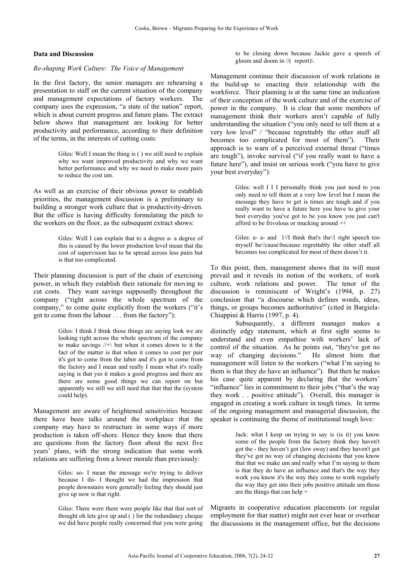# **Data and Discussion**

### *Re-shaping Work Culture: The Voice of Management*

In the first factory, the senior managers are rehearsing a presentation to staff on the current situation of the company and management expectations of factory workers. The company uses the expression, "a state of the nation" report, which is about current progress and future plans. The extract below shows that management are looking for better productivity and performance, according to their definition of the terms, in the interests of cutting costs:

> Giles: Well I mean the thing is ( ) we still need to explain why we want improved productivity and why we want better performance and why we need to make more pairs to reduce the cost um.

As well as an exercise of their obvious power to establish priorities, the management discussion is a preliminary to building a stronger work culture that is productivity-driven. But the office is having difficulty formulating the pitch to the workers on the floor, as the subsequent extract shows:

> Giles: Well I can explain that to a degree a- a degree of this is caused by the lower production level mean that the cost of supervision has to be spread across less pairs but is that too complicated.

Their planning discussion is part of the chain of exercising power, in which they establish their rationale for moving to cut costs. They want savings supposedly throughout the company ("right across the whole spectrum of the company," to come quite explicitly from the workers ("it's got to come from the labour . . . from the factory"):

> Giles: I think I think those things are saying look we are looking right across the whole spectrum of the company to make savings //+\ but when it comes down to it the fact of the matter is that when it comes to cost per pair it's got to come from the labor and it's got to come from the factory and I mean and really I mean what it's really saying is that yes it makes a good progress and there are there are some good things we can report on but apparently we still we still need that that that the (system could help).

Management are aware of heightened sensitivities because there have been talks around the workplace that the company may have to restructure in some ways if more production is taken off-shore. Hence they know that there are questions from the factory floor about the next five years' plans, with the strong indication that some work relations are suffering from a lower morale than previously:

> Giles: so- I mean the message we're trying to deliver because I thi- I thought we had the impression that people downstairs were generally feeling they should just give up now is that right.

> Giles: There were there were people like that that sort of thought oh lets give up and  $()$  for the redundancy cheque we did have people really concerned that you were going

to be closing down because Jackie gave a speech of gloom and doom in //( report)\.

Management continue their discussion of work relations in the build-up to enacting their relationship with the workforce. Their planning is at the same time an indication of their conception of the work culture and of the exercise of power in the company. It is clear that some members of management think their workers aren't capable of fully understanding the situation ("you only need to tell them at a very low level" / "because regrettably the other stuff all becomes too complicated for most of them"). Their approach is to warn of a perceived external threat ("times are tough"), invoke survival ("if you really want to have a future here"), and insist on serious work ("you have to give your best everyday"):

> Giles: well I I I personally think you just need to you only need to tell them at a very low level but I mean the message they have to get is times are tough and if you really want to have a future here you have to give your best everyday you've got to be you know you just can't afford to be frivolous or mucking around ++

> Giles: a- a- and  $1/1$  think that's the l right speech too myself be//cause\because regrettably the other stuff all becomes too complicated for most of them doesn't it.

To this point, then, management shows that its will must prevail and it reveals its notion of the workers, of work culture, work relations and power. The tenor of the discussion is reminiscent of Wright's (1994, p. 27) conclusion that "a discourse which defines words, ideas, things, or groups becomes authoritative" (cited in Bargiela-Chiappini & Harris (1997, p. 4).

Subsequently, a different manager makes a distinctly edgy statement, which at first sight seems to understand and even empathise with workers' lack of control of the situation. As he points out, "they've got no way of changing decisions." He almost hints that management will listen to the workers ("what I'm saying to them is that they do have an influence"). But then he makes his case quite apparent by declaring that the workers' "influence" lies in commitment to their jobs ("that's the way they work . . positive attitude"). Overall, this manager is engaged in creating a work culture in tough times. In terms of the ongoing management and managerial discussion, the speaker is continuing the theme of institutional tough love:

> Jack: what I keep on trying to say is (is it) you know some of the people from the factory think they haven't got the - they haven't got (low sway) and they haven't got they've got no way of changing decisions that you know that that we make um and really what I'm saying to them is that they do have an influence and that's the way they work you know it's the way they come to work regularly the way they get into their jobs positive attitude um those are the things that can help +

Migrants in cooperative education placements (or regular employment for that matter) might not ever hear or overhear the discussions in the management office, but the decisions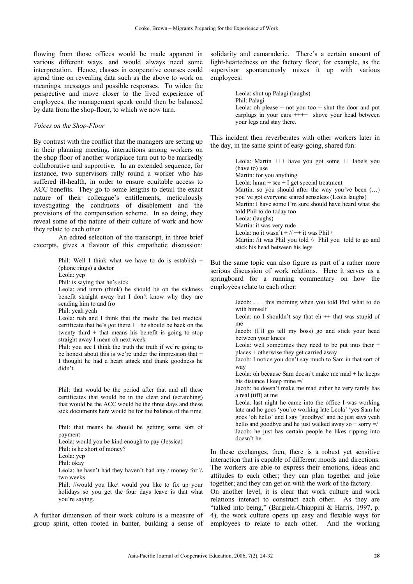flowing from those offices would be made apparent in various different ways, and would always need some interpretation. Hence, classes in cooperative courses could spend time on revealing data such as the above to work on meanings, messages and possible responses. To widen the perspective and move closer to the lived experience of employees, the management speak could then be balanced by data from the shop-floor, to which we now turn.

### *Voices on the Shop-Floor*

By contrast with the conflict that the managers are setting up in their planning meeting, interactions among workers on the shop floor of another workplace turn out to be markedly collaborative and supportive. In an extended sequence, for instance, two supervisors rally round a worker who has suffered ill-health, in order to ensure equitable access to ACC benefits. They go to some lengths to detail the exact nature of their colleague's entitlements, meticulously investigating the conditions of disablement and the provisions of the compensation scheme. In so doing, they reveal some of the nature of their culture of work and how they relate to each other.

An edited selection of the transcript, in three brief excerpts, gives a flavour of this empathetic discussion:

> Phil: Well I think what we have to do is establish + (phone rings) a doctor Leola: yep Phil: is saying that he's sick Leola: and umm (think) he should be on the sickness benefit straight away but I don't know why they are sending him to and fro Phil: yeah yeah Leola: nah and I think that the medic the last medical certificate that he's got there ++ he should be back on the twenty third  $+$  that means his benefit is going to stop straight away I mean oh next week Phil: you see I think the truth the truth if we're going to be honest about this is we're under the impression that + I thought he had a heart attack and thank goodness he didn't. Phil: that would be the period after that and all these certificates that would be in the clear and (scratching) that would be the ACC would be the three days and these sick documents here would be for the balance of the time

Phil: that means he should be getting some sort of payment Leola: would you be kind enough to pay (Jessica) Phil: is he short of money? Leola: yep Phil: okay Leola: he hasn't had they haven't had any / money for  $\mathcal N$ two weeks Phil: //would you like\ would you like to fix up your

holidays so you get the four days leave is that what you're saying.

A further dimension of their work culture is a measure of group spirit, often rooted in banter, building a sense of solidarity and camaraderie. There's a certain amount of light-heartedness on the factory floor, for example, as the supervisor spontaneously mixes it up with various employees:

> Leola: shut up Palagi (laughs) Phil: Palagi Leola: oh please  $+$  not you too  $+$  shut the door and put earplugs in your ears  $++++$  shove your head between your legs and stay there.

This incident then reverberates with other workers later in the day, in the same spirit of easy-going, shared fun:

> Leola: Martin +++ have you got some ++ labels you (have to) use Martin: for you anything Leola:  $hmm + see + I get special treatment$ Martin: so you should after the way you've been (…) you've got everyone scared senseless (Leola laughs) Martin: I have some I'm sure should have heard what she told Phil to do today too Leola: (laughs) Martin: it was very rude Leola: no it wasn't +  $\frac{1}{1}$  + it was Phil \ Martin: /it was Phil you told \\ Phil you told to go and stick his head between his legs.

But the same topic can also figure as part of a rather more serious discussion of work relations. Here it serves as a springboard for a running commentary on how the employees relate to each other:

> Jacob: . . . this morning when you told Phil what to do with himself

> Leola: no I shouldn't say that  $eh$  ++ that was stupid of me

> Jacob: (I'll go tell my boss) go and stick your head between your knees

> Leola: well sometimes they need to be put into their  $+$ places + otherwise they get carried away

> Jacob: I notice you don't say much to Sam in that sort of way

> Leola: oh because Sam doesn't make me mad + he keeps his distance I keep mine  $=$ /

> Jacob: he doesn't make me mad either he very rarely has a real (tiff) at me

> Leola: last night he came into the office I was working late and he goes 'you're working late Leola' 'yes Sam he goes 'oh hello' and I say 'goodbye' and he just says yeah hello and goodbye and he just walked away so  $+$  sorry  $=$ / Jacob: he just has certain people he likes ripping into doesn't he.

In these exchanges, then, there is a robust yet sensitive interaction that is capable of different moods and directions. The workers are able to express their emotions, ideas and attitudes to each other; they can plan together and joke together; and they can get on with the work of the factory.

On another level, it is clear that work culture and work relations interact to construct each other. As they are "talked into being," (Bargiela-Chiappini & Harris, 1997, p. 4), the work culture opens up easy and flexible ways for employees to relate to each other. And the working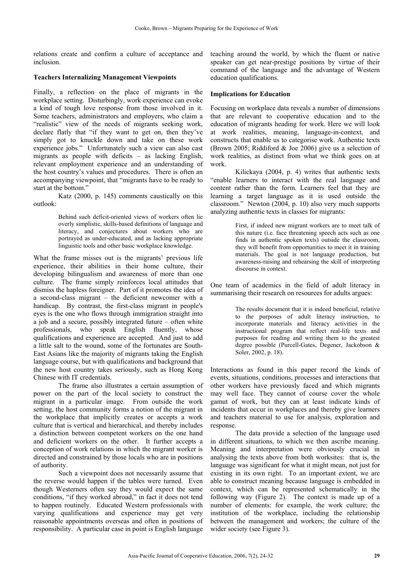relations create and confirm a culture of acceptance and inclusion.

# **Teachers Internalizing Management Viewpoints**

Finally, a reflection on the place of migrants in the workplace setting. Disturbingly, work experience can evoke a kind of tough love response from those involved in it. Some teachers, administrators and employers, who claim a "realistic" view of the needs of migrants seeking work, declare flatly that "if they want to get on, then they've simply got to knuckle down and take on these work experience jobs." Unfortunately such a view can also cast migrants as people with deficits – as lacking English, relevant employment experience and an understanding of the host country's values and procedures. There is often an accompanying viewpoint, that "migrants have to be ready to start at the bottom."

Katz (2000, p. 145) comments caustically on this outlook:

> Behind such deficit-oriented views of workers often lie overly simplistic, skills-based definitions of language and literacy, and conjectures about workers who are portrayed as under-educated, and as lacking appropriate linguistic tools and other basic workplace knowledge.

What the frame misses out is the migrants' previous life experience, their abilities in their home culture, their developing bilingualism and awareness of more than one culture. The frame simply reinforces local attitudes that dismiss the hapless foreigner. Part of it promotes the idea of a second-class migrant – the deficient newcomer with a handicap. By contrast, the first-class migrant in people's eyes is the one who flows through immigration straight into a job and a secure, possibly integrated future – often white professionals, who speak English fluently, whose qualifications and experience are accepted. And just to add a little salt to the wound, some of the fortunates are South-East Asians like the majority of migrants taking the English language course, but with qualifications and background that the new host country takes seriously, such as Hong Kong Chinese with IT credentials.

The frame also illustrates a certain assumption of power on the part of the local society to construct the migrant in a particular image. From outside the work setting, the host community forms a notion of the migrant in the workplace that implicitly creates or accepts a work culture that is vertical and hierarchical, and thereby includes a distinction between competent workers on the one hand and deficient workers on the other. It further accepts a conception of work relations in which the migrant worker is directed and constrained by those locals who are in positions of authority.

Such a viewpoint does not necessarily assume that the reverse would happen if the tables were turned. Even though Westerners often say they would expect the same conditions, "if they worked abroad," in fact it does not tend to happen routinely. Educated Western professionals with varying qualifications and experience may get very reasonable appointments overseas and often in positions of responsibility. A particular case in point is English language

teaching around the world, by which the fluent or native speaker can get near-prestige positions by virtue of their command of the language and the advantage of Western education qualifications.

# **Implications for Education**

Focusing on workplace data reveals a number of dimensions that are relevant to cooperative education and to the education of migrants heading for work. Here we will look at work realities, meaning, language-in-context, and constructs that enable us to categorise work. Authentic texts (Brown 2005; Riddiford & Joe 2006) give us a selection of work realities, as distinct from what we think goes on at work.

Kilickaya (2004, p. 4) writes that authentic texts "enable learners to interact with the real language and content rather than the form. Learners feel that they are learning a target language as it is used outside the classroom." Newton (2004, p. 10) also very much supports analyzing authentic texts in classes for migrants:

> First, if indeed new migrant workers are to meet talk of this nature (i.e. face threatening speech acts such as one finds in authentic spoken texts) outside the classroom, they will benefit from opportunities to meet it in training materials. The goal is not language production, but awareness-raising and rehearsing the skill of interpreting discourse in context.

One team of academics in the field of adult literacy in summarising their research on resources for adults argues:

> The results document that it is indeed beneficial, relative to the purposes of adult literacy instruction, to incorporate materials and literacy activities in the instructional program that reflect real-life texts and purposes for reading and writing them to the greatest degree possible (Purcell-Gates, Degener, Jackobson & Soler, 2002, p. 18).

Interactions as found in this paper record the kinds of events, situations, conditions, processes and interactions that other workers have previously faced and which migrants may well face. They cannot of course cover the whole gamut of work, but they can at least indicate kinds of incidents that occur in workplaces and thereby give learners and teachers material to use for analysis, exploration and response.

The data provide a selection of the language used in different situations, to which we then ascribe meaning. Meaning and interpretation were obviously crucial in analysing the texts above from both worksites: that is, the language was significant for what it might mean, not just for existing in its own right. To an important extent, we are able to construct meaning because language is embedded in context, which can be represented schematically in the following way (Figure 2). The context is made up of a number of elements: for example, the work culture; the institution of the workplace, including the relationship between the management and workers; the culture of the wider society (see Figure 3).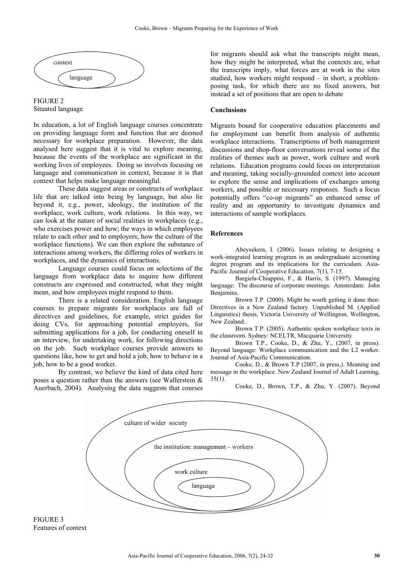



In education, a lot of English language courses concentrate on providing language form and function that are deemed necessary for workplace preparation. However, the data analysed here suggest that it is vital to explore meaning, because the events of the workplace are significant in the working lives of employees. Doing so involves focusing on language and communication in context, because it is that context that helps make language meaningful.

These data suggest areas or constructs of workplace life that are talked into being by language, but also lie beyond it, e.g., power, ideology, the institution of the workplace, work culture, work relations. In this way, we can look at the nature of social realities in workplaces (e.g., who exercises power and how; the ways in which employees relate to each other and to employers; how the culture of the workplace functions). We can then explore the substance of interactions among workers, the differing roles of workers in workplaces, and the dynamics of interactions.

Language courses could focus on selections of the language from workplace data to inquire how different constructs are expressed and constructed, what they might mean, and how employees might respond to them.

There is a related consideration. English language courses to prepare migrants for workplaces are full of directives and guidelines, for example, strict guides for doing CVs, for approaching potential employers, for submitting applications for a job, for conducting oneself in an interview, for undertaking work, for following directions on the job. Such workplace courses provide answers to questions like, how to get and hold a job, how to behave in a job, how to be a good worker.

By contrast, we believe the kind of data cited here poses a question rather than the answers (see Wallerstein & Auerbach, 2004). Analysing the data suggests that courses

for migrants should ask what the transcripts might mean, how they might be interpreted, what the contexts are, what the transcripts imply, what forces are at work in the sites studied, how workers might respond – in short, a problemposing task, for which there are no fixed answers, but instead a set of positions that are open to debate

# **Conclusions**

Migrants bound for cooperative education placements and for employment can benefit from analysis of authentic workplace interactions. Transcriptions of both management discussions and shop-floor conversations reveal some of the realities of themes such as power, work culture and work relations. Education programs could focus on interpretation and meaning, taking socially-grounded context into account to explore the sense and implications of exchanges among workers, and possible or necessary responses. Such a focus potentially offers "co-op migrants" an enhanced sense of reality and an opportunity to investigate dynamics and interactions of sample workplaces.

#### **References**

Abeysekera, I. (2006). Issues relating to designing a work-integrated learning program in an undergraduate accounting degree program and its implications for the curriculum. Asia-Pacific Journal of Cooperative Education, 7(1), 7-15.

Bargiela-Chiappini, F., & Harris, S. (1997). Managing language: The discourse of corporate meetings. Amsterdam: John Benjamins.

Brown T.P. (2000). Might be worth getting it done then: Directives in a New Zealand factory. Unpublished M. (Applied Linguistics) thesis, Victoria University of Wellington, Wellington, New Zealand..

Brown T.P. (2005). Authentic spoken workplace texts in the classroom. Sydney: NCELTR, Macquarie University

Brown T.P., Cooke, D., & Zhu, Y., (2007, in press). Beyond language: Workplace communication and the L2 worker. Journal of Asia-Pacific Communication.

Cooke, D., & Brown T.P (2007, in press,). Meaning and message in the workplace. New Zealand Journal of Adult Learning, 35(1).

Cooke, D., Brown, T.P., & Zhu, Y. (2007). Beyond



FIGURE 3 Features of context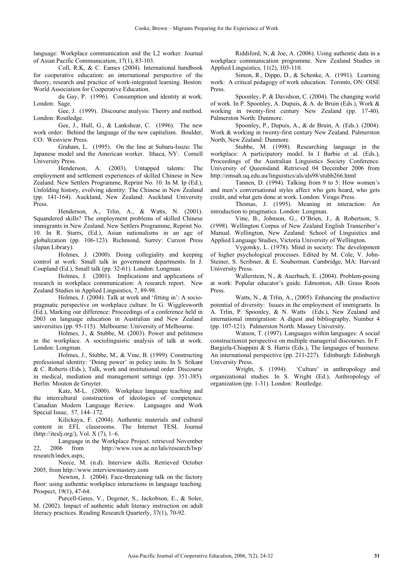language: Workplace communication and the L2 worker. Journal of Asian Pacific Communication, 17(1), 83-103.

Coll, R.K, & C. Eames (2004). International handbook for cooperative education: an international perspective of the theory, research and practice of work-integrated learning. Boston: World Association for Cooperative Education.

du Gay, P. (1996). Consumption and identity at work. London: Sage.

Gee, J. (1999). Discourse analysis: Theory and method. London: Routledge.

Gee, J., Hull, G., & Lankshear, C. (1996). The new work order: Behind the language of the new capitalism. Boulder, CO: Westview Press.

Graham, L. (1995). On the line at Subaru-Isuzu: The Japanese model and the American worker. Ithaca, NY: Cornell University Press.

Henderson, A. (2003). Untapped talents: The employment and settlement experiences of skilled Chinese in New Zealand. New Settlers Programme, Reprint No. 10. In M. Ip (Ed.), Unfolding history, evolving identity: The Chinese in New Zealand (pp. 141-164). Auckland, New Zealand: Auckland University Press.

Henderson, A., Trlin, A., & Watts, N. (2001). Squandered skills? The employment problems of skilled Chinese immigrants in New Zealand. New Settlers Programme, Reprint No. 10. In R. Starrs, (Ed.), Asian nationalisms in an age of globalization (pp. 106-123). Richmond, Surrey: Curzon Press (Japan Library).

Holmes, J. (2000). Doing collegiality and keeping control at work: Small talk in government departments. In J. Coupland (Ed.), Small talk (pp. 32-61). London: Longman.

Holmes, J. (2001). Implications and applications of research in workplace communication: A research report. New Zealand Studies in Applied Linguistics, 7, 89-98.

Holmes, J. (2004). Talk at work and 'fitting in': A sociopragmatic perspective on workplace culture. In G. Wigglesworth (Ed.), Marking our difference: Proceedings of a conference held in 2003 on language education in Australian and New Zealand universities (pp. 95-115). Melbourne: University of Melbourne.

Holmes, J., & Stubbe, M. (2003). Power and politeness in the workplace. A sociolinguistic analysis of talk at work. London: Longman.

Holmes, J., Stubbe, M., & Vine, B. (1999). Constructing professional identity: 'Doing power' in policy units. In S. Srikant & C. Roberts (Eds.), Talk, work and institutional order. Discourse in medical, mediation and management settings (pp. 351-385). Berlin: Mouton de Gruyter.

Katz, M-L. (2000). Workplace language teaching and the intercultural construction of ideologies of competence. Canadian Modern Language Review. Languages and Work Special Issue, 57, 144–172.

Kilickaya, F. (2004). Authentic materials and cultural content in EFL classrooms. The Internet TESL Journal (http://iteslj.org/), Vol. X (7), 1–6.

Language in the Workplace Project. retrieved November 22, 2006 from http://www.vuw.ac.nz/lals/research/lwp/ research/index.aspx,

Neece, M. (n.d). Interview skills. Retrieved October 2005, from http://www.interviewmastery.com

Newton, J. (2004). Face-threatening talk on the factory floor: using authentic workplace interactions in language teaching. Prospect, 19(1), 47-64.

Purcell-Gates, V., Degener, S., Jackobson, E., & Soler, M. (2002). Impact of authentic adult literacy instruction on adult literacy practices. Reading Research Quarterly, 37(1), 70-92.

Riddiford, N, & Joe, A. (2006). Using authentic data in a workplace communication programme. New Zealand Studies in Applied Linguistics, 11(2), 103-110.

Simon, R., Dippo, D., & Schenke, A. (1991). Learning work: A critical pedagogy of work education. Toronto, ON: OISE Press.

Spoonley, P. & Davidson, C. (2004). The changing world of work. In P. Spoonley, A. Dupuis, & A. de Bruin (Eds.), Work & working in twenty-first century New Zealand (pp. 17-40). Palmerston North: Dunmore.

Spoonley, P., Dupuis, A., & de Bruin, A. (Eds.). (2004). Work & working in twenty-first century New Zealand. Palmerston North, New Zealand: Dunmore.

Stubbe, M. (1998). Researching language in the workplace: A participatory model. In I Barbie et al. (Eds.), Proceedings of the Australian Linguistics Society Conference. University of Queensland. Retrieved 04 December 2006 from http://emsah.uq.edu.au/linguistics/als/als98/stubb266.html

Tannen, D. (1994). Talking from 9 to 5: How women's and men's conversational styles affect who gets heard, who gets credit, and what gets done at work. London: Virago Press.

Thomas, J. (1995). Meaning in interaction: An introduction to pragmatics. London: Longman.

Vine, B., Johnson, G., O'Brien, J., & Robertson, S. (1998). Wellington Corpus of New Zealand English Transcriber's Manual. Wellington, New Zealand: School of Linguistics and Applied Language Studies, Victoria University of Wellington.

Vygotsky, L. (1978). Mind in society: The development of higher psychological processes. Edited by M. Cole, V. John-Steiner, S. Scribner, & E. Souberman. Cambridge, MA: Harvard University Press.

Wallerstein, N., & Auerbach, E. (2004). Problem-posing at work: Popular educator's guide. Edmonton, AB: Grass Roots Press.

Watts, N., & Trlin, A., (2005). Enhancing the productive potential of diversity: Issues in the employment of immigrants. In A. Trlin, P. Spoonley, & N. Watts (Eds.), New Zealand and international immigration: A digest and bibliography, Number 4 (pp. 107-121). Palmerston North: Massey University.

Watson, T. (1997). Languages within languages: A social constructionist perspective on multiple managerial discourses. In F. Bargiela-Chiappini & S. Harris (Eds.), The languages of business: An international perspective (pp. 211-227). Edinburgh: Edinburgh University Press.

Wright, S. (1994). 'Culture' in anthropology and organizational studies. In S. Wright (Ed.), Anthropology of organization (pp. 1-31). London: Routledge.